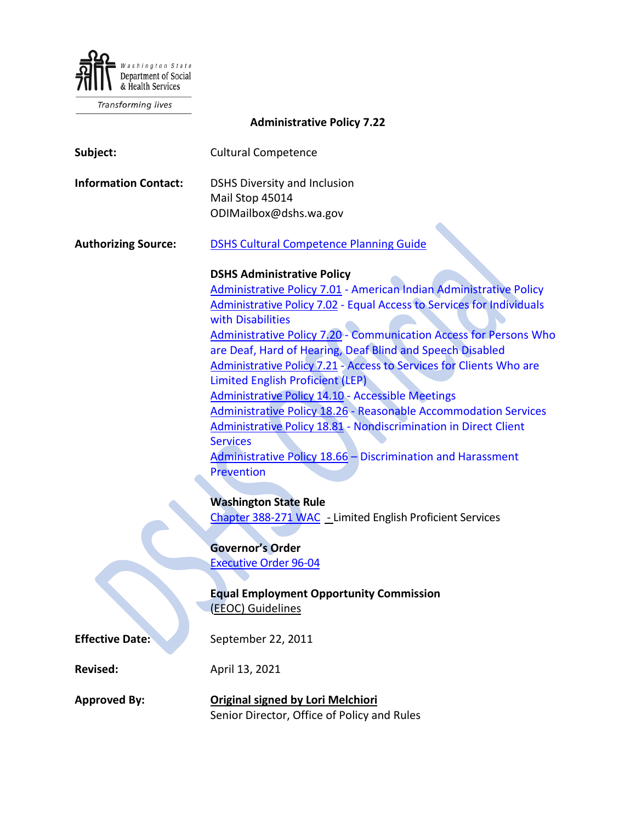

Transforming lives

**Administrative Policy 7.22**

| Subject:                    | <b>Cultural Competence</b>                                                                                                                                                                                                                                                                                                                                                                                                                                                                                                                                                                                                                                                                                                                                                        |
|-----------------------------|-----------------------------------------------------------------------------------------------------------------------------------------------------------------------------------------------------------------------------------------------------------------------------------------------------------------------------------------------------------------------------------------------------------------------------------------------------------------------------------------------------------------------------------------------------------------------------------------------------------------------------------------------------------------------------------------------------------------------------------------------------------------------------------|
| <b>Information Contact:</b> | <b>DSHS Diversity and Inclusion</b><br>Mail Stop 45014<br>ODIMailbox@dshs.wa.gov                                                                                                                                                                                                                                                                                                                                                                                                                                                                                                                                                                                                                                                                                                  |
| <b>Authorizing Source:</b>  | <b>DSHS Cultural Competence Planning Guide</b>                                                                                                                                                                                                                                                                                                                                                                                                                                                                                                                                                                                                                                                                                                                                    |
|                             | <b>DSHS Administrative Policy</b><br>Administrative Policy 7.01 - American Indian Administrative Policy<br><b>Administrative Policy 7.02 - Equal Access to Services for Individuals</b><br>with Disabilities<br><b>Administrative Policy 7.20 - Communication Access for Persons Who</b><br>are Deaf, Hard of Hearing, Deaf Blind and Speech Disabled<br>Administrative Policy 7.21 - Access to Services for Clients Who are<br>Limited English Proficient (LEP)<br><b>Administrative Policy 14.10 - Accessible Meetings</b><br><b>Administrative Policy 18.26 - Reasonable Accommodation Services</b><br>Administrative Policy 18.81 - Nondiscrimination in Direct Client<br><b>Services</b><br>Administrative Policy 18.66 - Discrimination and Harassment<br><b>Prevention</b> |
|                             | <b>Washington State Rule</b><br>Chapter 388-271 WAC - Limited English Proficient Services                                                                                                                                                                                                                                                                                                                                                                                                                                                                                                                                                                                                                                                                                         |
|                             | <b>Governor's Order</b><br><b>Executive Order 96-04</b><br><b>Equal Employment Opportunity Commission</b><br>(EEOC) Guidelines                                                                                                                                                                                                                                                                                                                                                                                                                                                                                                                                                                                                                                                    |
| <b>Effective Date:</b>      | September 22, 2011                                                                                                                                                                                                                                                                                                                                                                                                                                                                                                                                                                                                                                                                                                                                                                |
| <b>Revised:</b>             | April 13, 2021                                                                                                                                                                                                                                                                                                                                                                                                                                                                                                                                                                                                                                                                                                                                                                    |
| <b>Approved By:</b>         | Original signed by Lori Melchiori                                                                                                                                                                                                                                                                                                                                                                                                                                                                                                                                                                                                                                                                                                                                                 |

Senior Director, Office of Policy and Rules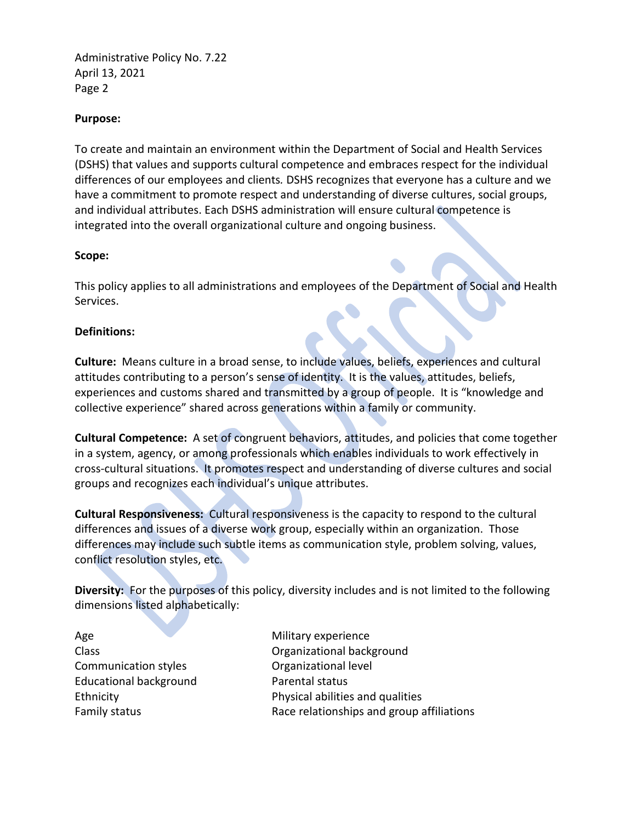Administrative Policy No. 7.22 April 13, 2021 Page 2

#### **Purpose:**

To create and maintain an environment within the Department of Social and Health Services (DSHS) that values and supports cultural competence and embraces respect for the individual differences of our employees and clients*.* DSHS recognizes that everyone has a culture and we have a commitment to promote respect and understanding of diverse cultures, social groups, and individual attributes. Each DSHS administration will ensure cultural competence is integrated into the overall organizational culture and ongoing business.

## **Scope:**

This policy applies to all administrations and employees of the Department of Social and Health Services.

## **Definitions:**

**Culture:** Means culture in a broad sense, to include values, beliefs, experiences and cultural attitudes contributing to a person's sense of identity. It is the values, attitudes, beliefs, experiences and customs shared and transmitted by a group of people. It is "knowledge and collective experience" shared across generations within a family or community.

**Cultural Competence:** A set of congruent behaviors, attitudes, and policies that come together in a system, agency, or among professionals which enables individuals to work effectively in cross-cultural situations. It promotes respect and understanding of diverse cultures and social groups and recognizes each individual's unique attributes.

**Cultural Responsiveness:** Cultural responsiveness is the capacity to respond to the cultural differences and issues of a diverse work group, especially within an organization. Those differences may include such subtle items as communication style, problem solving, values, conflict resolution styles, etc.

**Diversity:** For the purposes of this policy, diversity includes and is not limited to the following dimensions listed alphabetically:

Age Class Communication styles Educational background Ethnicity Family status

Military experience Organizational background Organizational level Parental status Physical abilities and qualities Race relationships and group affiliations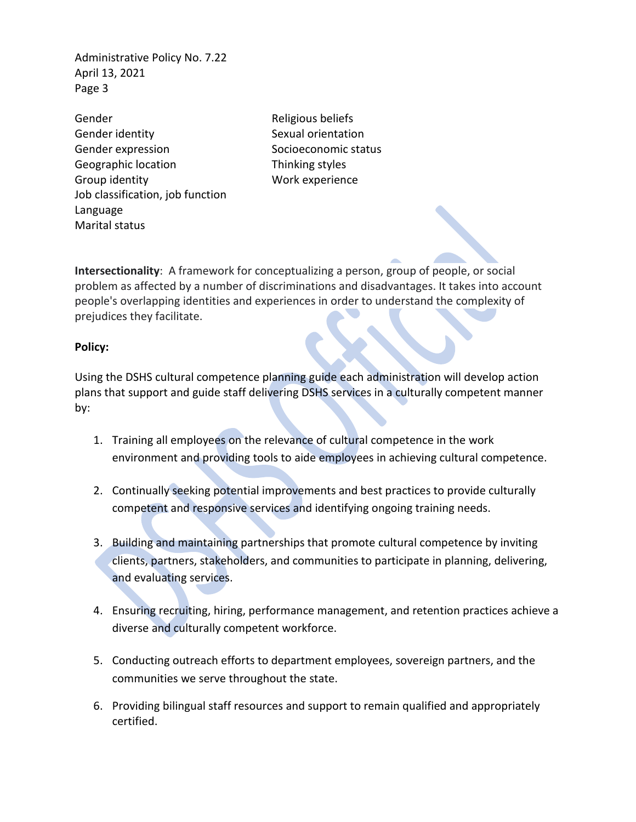Administrative Policy No. 7.22 April 13, 2021 Page 3

Gender Gender identity Gender expression Geographic location Group identity Job classification, job function Language Marital status

Religious beliefs Sexual orientation Socioeconomic status Thinking styles Work experience

**Intersectionality**: A framework for conceptualizing a person, group of people, or social problem as affected by a number of discriminations and disadvantages. It takes into account people's overlapping identities and experiences in order to understand the complexity of prejudices they facilitate.

#### **Policy:**

Using the DSHS cultural competence planning guide each administration will develop action plans that support and guide staff delivering DSHS services in a culturally competent manner by:

- 1. Training all employees on the relevance of cultural competence in the work environment and providing tools to aide employees in achieving cultural competence.
- 2. Continually seeking potential improvements and best practices to provide culturally competent and responsive services and identifying ongoing training needs.
- 3. Building and maintaining partnerships that promote cultural competence by inviting clients, partners, stakeholders, and communities to participate in planning, delivering, and evaluating services.
- 4. Ensuring recruiting, hiring, performance management, and retention practices achieve a diverse and culturally competent workforce.
- 5. Conducting outreach efforts to department employees, sovereign partners, and the communities we serve throughout the state.
- 6. Providing bilingual staff resources and support to remain qualified and appropriately certified.